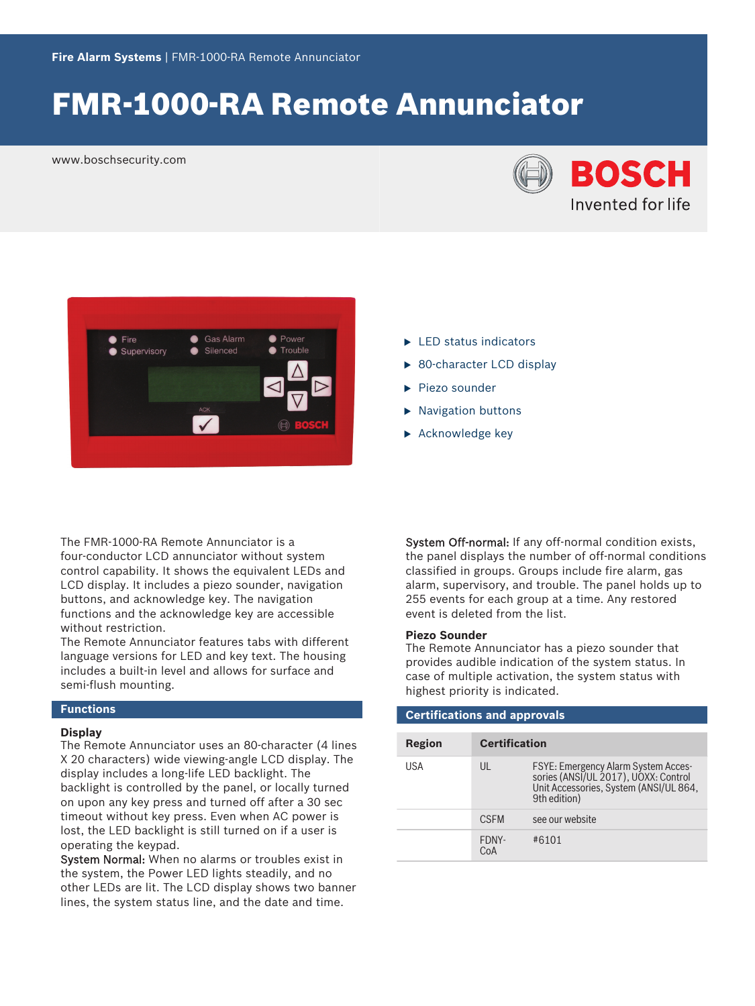# FMR‑1000‑RA Remote Annunciator

www.boschsecurity.com





- $\blacktriangleright$  LED status indicators
- $\triangleright$  80-character LCD display
- $\blacktriangleright$  Piezo sounder
- $\blacktriangleright$  Navigation buttons
- $\blacktriangleright$  Acknowledge key

The FMR‑1000‑RA Remote Annunciator is a four‑conductor LCD annunciator without system control capability. It shows the equivalent LEDs and LCD display. It includes a piezo sounder, navigation buttons, and acknowledge key. The navigation functions and the acknowledge key are accessible without restriction.

The Remote Annunciator features tabs with different language versions for LED and key text. The housing includes a built-in level and allows for surface and semi-flush mounting.

### **Functions**

#### **Display**

The Remote Annunciator uses an 80‑character (4 lines X 20 characters) wide viewing-angle LCD display. The display includes a long‑life LED backlight. The backlight is controlled by the panel, or locally turned on upon any key press and turned off after a 30 sec timeout without key press. Even when AC power is lost, the LED backlight is still turned on if a user is operating the keypad.

System Normal: When no alarms or troubles exist in the system, the Power LED lights steadily, and no other LEDs are lit. The LCD display shows two banner lines, the system status line, and the date and time.

System Off-normal: If any off-normal condition exists, the panel displays the number of off-normal conditions classified in groups. Groups include fire alarm, gas alarm, supervisory, and trouble. The panel holds up to 255 events for each group at a time. Any restored event is deleted from the list.

## **Piezo Sounder**

The Remote Annunciator has a piezo sounder that provides audible indication of the system status. In case of multiple activation, the system status with highest priority is indicated.

| <b>Certifications and approvals</b> |                      |                                                                                                                                              |  |  |
|-------------------------------------|----------------------|----------------------------------------------------------------------------------------------------------------------------------------------|--|--|
| Region                              | <b>Certification</b> |                                                                                                                                              |  |  |
| USA                                 | UL                   | <b>FSYE: Emergency Alarm System Acces-</b><br>sories (ANSI/UL 2017), UOXX: Control<br>Unit Accessories, System (ANSI/UL 864,<br>9th edition) |  |  |
|                                     | <b>CSEM</b>          | see our website                                                                                                                              |  |  |
|                                     | FDNY-<br>CoA         | #6101                                                                                                                                        |  |  |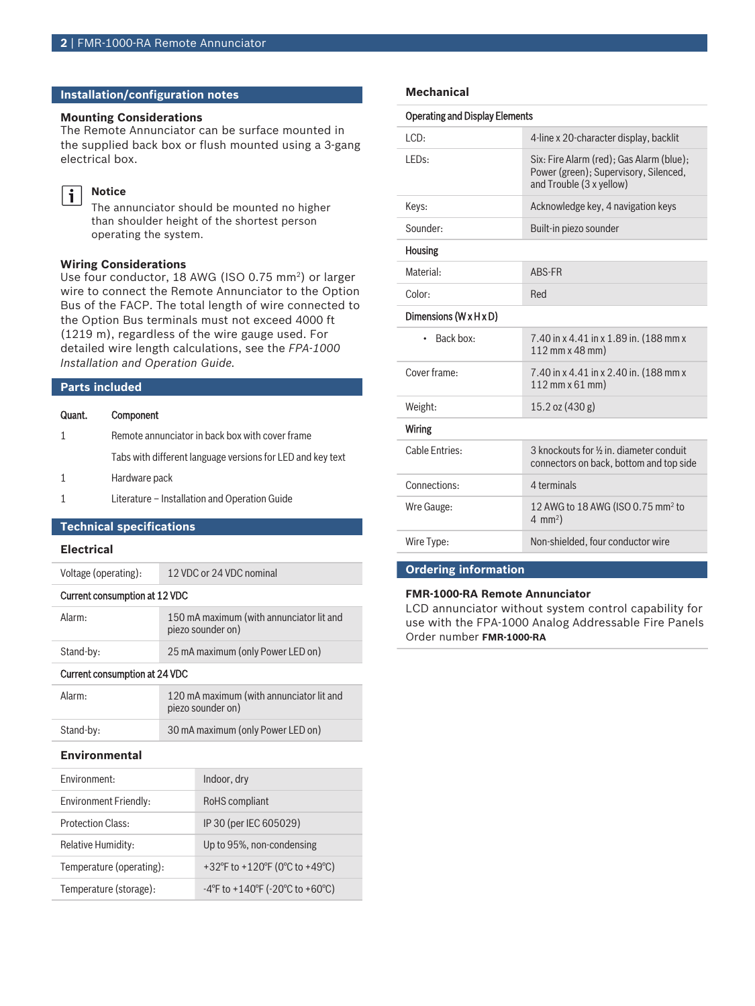### **Installation/configuration notes**

#### **Mounting Considerations**

The Remote Annunciator can be surface mounted in the supplied back box or flush mounted using a 3‑gang electrical box.

#### **Notice**  $\mathbf i$

The annunciator should be mounted no higher than shoulder height of the shortest person operating the system.

#### **Wiring Considerations**

Use four conductor, 18 AWG (ISO 0.75 mm<sup>2</sup>) or larger wire to connect the Remote Annunciator to the Option Bus of the FACP. The total length of wire connected to the Option Bus terminals must not exceed 4000 ft (1219 m), regardless of the wire gauge used. For detailed wire length calculations, see the *FPA‑1000 Installation and Operation Guide.*

#### **Parts included**

| Quant. | Component |
|--------|-----------|
|--------|-----------|

- 1 Remote annunciator in back box with cover frame
	- Tabs with different language versions for LED and key text
- 1 Hardware pack
- 1 Literature Installation and Operation Guide

### **Technical specifications**

#### **Electrical**

| Voltage (operating):          | 12 VDC or 24 VDC nominal                                      |  |
|-------------------------------|---------------------------------------------------------------|--|
| Current consumption at 12 VDC |                                                               |  |
| Alarm:                        | 150 mA maximum (with annunciator lit and<br>piezo sounder on) |  |
| Stand-by:                     | 25 mA maximum (only Power LED on)                             |  |

#### Current consumption at 24 VDC

| Alarm:    | 120 mA maximum (with annunciator lit and<br>piezo sounder on) |
|-----------|---------------------------------------------------------------|
| Stand-by: | 30 mA maximum (only Power LED on)                             |

#### **Environmental**

| Fnvironment:              | Indoor, dry                                                                |
|---------------------------|----------------------------------------------------------------------------|
| Environment Friendly:     | RoHS compliant                                                             |
| <b>Protection Class:</b>  | IP 30 (per IEC 605029)                                                     |
| <b>Relative Humidity:</b> | Up to 95%, non-condensing                                                  |
| Temperature (operating):  | +32°F to +120°F (0°C to +49°C)                                             |
| Temperature (storage):    | $-4^{\circ}$ F to +140 $^{\circ}$ F ( $-20^{\circ}$ C to +60 $^{\circ}$ C) |

#### **Mechanical**

| <b>Operating and Display Elements</b> |                                                                                                               |  |
|---------------------------------------|---------------------------------------------------------------------------------------------------------------|--|
| ICD:                                  | 4-line x 20-character display, backlit                                                                        |  |
| LED <sub>s:</sub>                     | Six: Fire Alarm (red); Gas Alarm (blue);<br>Power (green); Supervisory, Silenced,<br>and Trouble (3 x yellow) |  |
| Keys:                                 | Acknowledge key, 4 navigation keys                                                                            |  |
| Sounder:                              | Built-in piezo sounder                                                                                        |  |
| <b>Housing</b>                        |                                                                                                               |  |
| Material:                             | ABS-FR                                                                                                        |  |
| Color:                                | Red                                                                                                           |  |
| Dimensions $(W \times H \times D)$    |                                                                                                               |  |
| Back box:<br>$\bullet$                | 7.40 in x 4.41 in x 1.89 in. (188 mm x<br>112 mm x 48 mm)                                                     |  |
| Cover frame:                          | 7.40 in x 4.41 in x 2.40 in. (188 mm x<br>112 mm x 61 mm)                                                     |  |
| Weight:                               | $15.2$ oz $(430 g)$                                                                                           |  |
| Wiring                                |                                                                                                               |  |
| Cable Entries:                        | 3 knockouts for 1/2 in, diameter conduit<br>connectors on back, bottom and top side                           |  |
| Connections:                          | 4 terminals                                                                                                   |  |
| Wre Gauge:                            | 12 AWG to 18 AWG (ISO 0.75 mm <sup>2</sup> to<br>4 mm <sup>2</sup> )                                          |  |
| Wire Type:                            | Non-shielded, four conductor wire                                                                             |  |
|                                       |                                                                                                               |  |

#### **Ordering information**

#### **FMR‑1000‑RA Remote Annunciator**

LCD annunciator without system control capability for use with the FPA‑1000 Analog Addressable Fire Panels Order number **FMR-1000-RA**